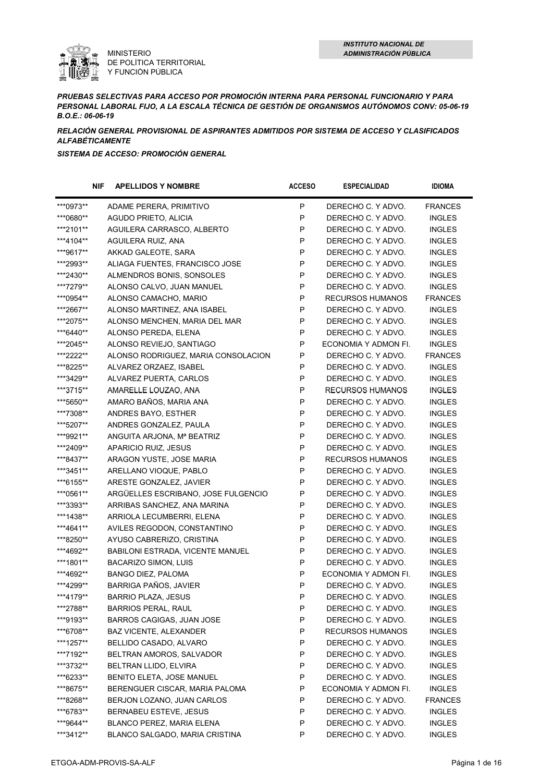

*PRUEBAS SELECTIVAS PARA ACCESO POR PROMOCIÓN INTERNA PARA PERSONAL FUNCIONARIO Y PARA PERSONAL LABORAL FIJO, A LA ESCALA TÉCNICA DE GESTIÓN DE ORGANISMOS AUTÓNOMOS CONV: 05-06-19 B.O.E.: 06-06-19*

*RELACIÓN GENERAL PROVISIONAL DE ASPIRANTES ADMITIDOS POR SISTEMA DE ACCESO Y CLASIFICADOS ALFABÉTICAMENTE*

| <b>NIF</b> | <b>APELLIDOS Y NOMBRE</b>           | <b>ACCESO</b> | <b>ESPECIALIDAD</b>     | <b>IDIOMA</b>  |
|------------|-------------------------------------|---------------|-------------------------|----------------|
| ***0973**  | ADAME PERERA, PRIMITIVO             | P             | DERECHO C. Y ADVO.      | <b>FRANCES</b> |
| ***0680**  | AGUDO PRIETO, ALICIA                | P             | DERECHO C. Y ADVO.      | <b>INGLES</b>  |
| ***2101**  | AGUILERA CARRASCO, ALBERTO          | P             | DERECHO C. Y ADVO.      | <b>INGLES</b>  |
| ***4104**  | AGUILERA RUIZ, ANA                  | P             | DERECHO C. Y ADVO.      | <b>INGLES</b>  |
| ***9617**  | AKKAD GALEOTE, SARA                 | P             | DERECHO C. Y ADVO.      | <b>INGLES</b>  |
| ***2993**  | ALIAGA FUENTES, FRANCISCO JOSE      | P             | DERECHO C. Y ADVO.      | <b>INGLES</b>  |
| ***2430**  | ALMENDROS BONIS, SONSOLES           | P             | DERECHO C. Y ADVO.      | <b>INGLES</b>  |
| ***7279**  | ALONSO CALVO, JUAN MANUEL           | P             | DERECHO C. Y ADVO.      | <b>INGLES</b>  |
| ***0954**  | ALONSO CAMACHO, MARIO               | P             | RECURSOS HUMANOS        | <b>FRANCES</b> |
| ***2667**  | ALONSO MARTINEZ, ANA ISABEL         | P             | DERECHO C. Y ADVO.      | <b>INGLES</b>  |
| ***2075**  | ALONSO MENCHEN, MARIA DEL MAR       | ${\sf P}$     | DERECHO C. Y ADVO.      | <b>INGLES</b>  |
| ***6440**  | ALONSO PEREDA, ELENA                | P             | DERECHO C. Y ADVO.      | <b>INGLES</b>  |
| ***2045**  | ALONSO REVIEJO, SANTIAGO            | ${\sf P}$     | ECONOMIA Y ADMON FI.    | <b>INGLES</b>  |
| ***2222**  | ALONSO RODRIGUEZ, MARIA CONSOLACION | P             | DERECHO C. Y ADVO.      | <b>FRANCES</b> |
| ***8225**  | ALVAREZ ORZAEZ, ISABEL              | P             | DERECHO C. Y ADVO.      | <b>INGLES</b>  |
| ***3429**  | ALVAREZ PUERTA, CARLOS              | P             | DERECHO C. Y ADVO.      | <b>INGLES</b>  |
| ***3715**  | AMARELLE LOUZAO, ANA                | P             | <b>RECURSOS HUMANOS</b> | <b>INGLES</b>  |
| ***5650**  | AMARO BAÑOS, MARIA ANA              | P             | DERECHO C. Y ADVO.      | <b>INGLES</b>  |
| ***7308**  | ANDRES BAYO, ESTHER                 | P             | DERECHO C. Y ADVO.      | <b>INGLES</b>  |
| ***5207**  | ANDRES GONZALEZ, PAULA              | P             | DERECHO C. Y ADVO.      | <b>INGLES</b>  |
| ***9921**  | ANGUITA ARJONA, Mª BEATRIZ          | P             | DERECHO C. Y ADVO.      | <b>INGLES</b>  |
| ***2409**  | APARICIO RUIZ, JESUS                | P             | DERECHO C. Y ADVO.      | <b>INGLES</b>  |
| ***8437**  | ARAGON YUSTE, JOSE MARIA            | P             | <b>RECURSOS HUMANOS</b> | <b>INGLES</b>  |
| ***3451**  | ARELLANO VIOQUE, PABLO              | P             | DERECHO C. Y ADVO.      | <b>INGLES</b>  |
| ***6155**  | ARESTE GONZALEZ, JAVIER             | P             | DERECHO C. Y ADVO.      | <b>INGLES</b>  |
| ***0561**  | ARGÜELLES ESCRIBANO, JOSE FULGENCIO | P             | DERECHO C. Y ADVO.      | <b>INGLES</b>  |
| ***3393**  | ARRIBAS SANCHEZ, ANA MARINA         | P             | DERECHO C. Y ADVO.      | <b>INGLES</b>  |
| ***1438**  | ARRIOLA LECUMBERRI, ELENA           | P             | DERECHO C. Y ADVO.      | <b>INGLES</b>  |
| ***4641**  | AVILES REGODON, CONSTANTINO         | P             | DERECHO C. Y ADVO.      | <b>INGLES</b>  |
| ***8250**  | AYUSO CABRERIZO, CRISTINA           | P             | DERECHO C. Y ADVO.      | <b>INGLES</b>  |
| ***4692**  | BABILONI ESTRADA, VICENTE MANUEL    | P             | DERECHO C. Y ADVO.      | <b>INGLES</b>  |
| ***1801**  | <b>BACARIZO SIMON, LUIS</b>         | P             | DERECHO C. Y ADVO.      | <b>INGLES</b>  |
| ***4692**  | BANGO DIEZ, PALOMA                  | P             | ECONOMIA Y ADMON FI.    | <b>INGLES</b>  |
| ***4299**  | BARRIGA PAÑOS, JAVIER               | P             | DERECHO C. Y ADVO.      | <b>INGLES</b>  |
| ***4179**  | <b>BARRIO PLAZA, JESUS</b>          | P             | DERECHO C. Y ADVO.      | <b>INGLES</b>  |
| ***2788**  | <b>BARRIOS PERAL, RAUL</b>          | P             | DERECHO C. Y ADVO.      | <b>INGLES</b>  |
| ***9193**  | BARROS CAGIGAS, JUAN JOSE           | P             | DERECHO C. Y ADVO.      | <b>INGLES</b>  |
| ***6708**  | BAZ VICENTE, ALEXANDER              | P             | <b>RECURSOS HUMANOS</b> | <b>INGLES</b>  |
| ***1257**  | BELLIDO CASADO, ALVARO              | P             | DERECHO C. Y ADVO.      | <b>INGLES</b>  |
| ***7192**  | BELTRAN AMOROS, SALVADOR            | P             | DERECHO C. Y ADVO.      | <b>INGLES</b>  |
| ***3732**  | BELTRAN LLIDO, ELVIRA               | P             | DERECHO C. Y ADVO.      | <b>INGLES</b>  |
| ***6233**  | BENITO ELETA, JOSE MANUEL           | P             | DERECHO C. Y ADVO.      | <b>INGLES</b>  |
| ***8675**  | BERENGUER CISCAR, MARIA PALOMA      | P             | ECONOMIA Y ADMON FI.    | <b>INGLES</b>  |
| ***8268**  | BERJON LOZANO, JUAN CARLOS          | P             | DERECHO C. Y ADVO.      | <b>FRANCES</b> |
| ***6783**  | <b>BERNABEU ESTEVE, JESUS</b>       | P             | DERECHO C. Y ADVO.      | <b>INGLES</b>  |
| ***9644**  | BLANCO PEREZ, MARIA ELENA           | P             | DERECHO C. Y ADVO.      | <b>INGLES</b>  |
| ***3412**  | BLANCO SALGADO, MARIA CRISTINA      | P             | DERECHO C. Y ADVO.      | <b>INGLES</b>  |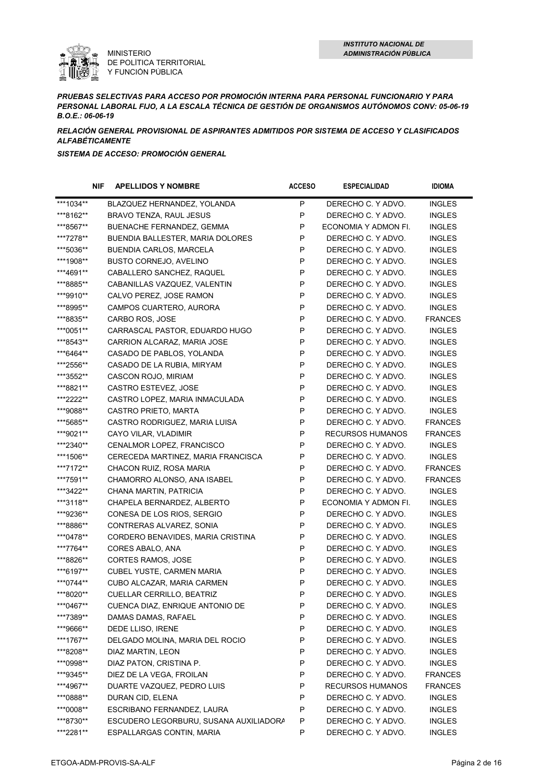

*PRUEBAS SELECTIVAS PARA ACCESO POR PROMOCIÓN INTERNA PARA PERSONAL FUNCIONARIO Y PARA PERSONAL LABORAL FIJO, A LA ESCALA TÉCNICA DE GESTIÓN DE ORGANISMOS AUTÓNOMOS CONV: 05-06-19 B.O.E.: 06-06-19*

*RELACIÓN GENERAL PROVISIONAL DE ASPIRANTES ADMITIDOS POR SISTEMA DE ACCESO Y CLASIFICADOS ALFABÉTICAMENTE*

| <b>NIF</b> | <b>APELLIDOS Y NOMBRE</b>              | <b>ACCESO</b> | <b>ESPECIALIDAD</b>     | <b>IDIOMA</b>  |
|------------|----------------------------------------|---------------|-------------------------|----------------|
| ***1034**  | BLAZQUEZ HERNANDEZ, YOLANDA            | P             | DERECHO C. Y ADVO.      | <b>INGLES</b>  |
| ***8162**  | BRAVO TENZA, RAUL JESUS                | P             | DERECHO C. Y ADVO.      | <b>INGLES</b>  |
| ***8567**  | BUENACHE FERNANDEZ, GEMMA              | P             | ECONOMIA Y ADMON FI.    | <b>INGLES</b>  |
| ***7278**  | BUENDIA BALLESTER, MARIA DOLORES       | P             | DERECHO C. Y ADVO.      | <b>INGLES</b>  |
| ***5036**  | BUENDIA CARLOS, MARCELA                | P             | DERECHO C. Y ADVO.      | <b>INGLES</b>  |
| ***1908**  | BUSTO CORNEJO, AVELINO                 | P             | DERECHO C. Y ADVO.      | <b>INGLES</b>  |
| ***4691**  | CABALLERO SANCHEZ, RAQUEL              | P             | DERECHO C. Y ADVO.      | <b>INGLES</b>  |
| ***8885**  | CABANILLAS VAZQUEZ, VALENTIN           | P             | DERECHO C. Y ADVO.      | <b>INGLES</b>  |
| ***9910**  | CALVO PEREZ, JOSE RAMON                | P             | DERECHO C. Y ADVO.      | <b>INGLES</b>  |
| ***8995**  | CAMPOS CUARTERO, AURORA                | P             | DERECHO C. Y ADVO.      | <b>INGLES</b>  |
| ***8835**  | CARBO ROS, JOSE                        | P             | DERECHO C. Y ADVO.      | <b>FRANCES</b> |
| ***0051**  | CARRASCAL PASTOR, EDUARDO HUGO         | P             | DERECHO C. Y ADVO.      | <b>INGLES</b>  |
| ***8543**  | CARRION ALCARAZ, MARIA JOSE            | P             | DERECHO C. Y ADVO.      | <b>INGLES</b>  |
| ***6464**  | CASADO DE PABLOS, YOLANDA              | P             | DERECHO C. Y ADVO.      | <b>INGLES</b>  |
| ***2556**  | CASADO DE LA RUBIA, MIRYAM             | P             | DERECHO C. Y ADVO.      | <b>INGLES</b>  |
| ***3552**  | CASCON ROJO, MIRIAM                    | P             | DERECHO C. Y ADVO.      | <b>INGLES</b>  |
| ***8821**  | CASTRO ESTEVEZ, JOSE                   | P             | DERECHO C. Y ADVO.      | <b>INGLES</b>  |
| ***2222**  | CASTRO LOPEZ, MARIA INMACULADA         | P             | DERECHO C. Y ADVO.      | <b>INGLES</b>  |
| ***9088**  | <b>CASTRO PRIETO, MARTA</b>            | P             | DERECHO C. Y ADVO.      | <b>INGLES</b>  |
| ***5685**  | CASTRO RODRIGUEZ, MARIA LUISA          | P             | DERECHO C. Y ADVO.      | <b>FRANCES</b> |
| ***9021**  | CAYO VILAR, VLADIMIR                   | P             | RECURSOS HUMANOS        | <b>FRANCES</b> |
| ***2340**  | CENALMOR LOPEZ, FRANCISCO              | P             | DERECHO C. Y ADVO.      | <b>INGLES</b>  |
| ***1506**  | CERECEDA MARTINEZ, MARIA FRANCISCA     | P             | DERECHO C. Y ADVO.      | <b>INGLES</b>  |
| ***7172**  | CHACON RUIZ, ROSA MARIA                | P             | DERECHO C. Y ADVO.      | <b>FRANCES</b> |
| ***7591**  | CHAMORRO ALONSO, ANA ISABEL            | P             | DERECHO C. Y ADVO.      | <b>FRANCES</b> |
| ***3422**  | CHANA MARTIN, PATRICIA                 | P             | DERECHO C. Y ADVO.      | <b>INGLES</b>  |
| ***3118**  | CHAPELA BERNARDEZ, ALBERTO             | P             | ECONOMIA Y ADMON FI.    | <b>INGLES</b>  |
| ***9236**  | CONESA DE LOS RIOS, SERGIO             | P             | DERECHO C. Y ADVO.      | <b>INGLES</b>  |
| ***8886**  | CONTRERAS ALVAREZ, SONIA               | P             | DERECHO C. Y ADVO.      | <b>INGLES</b>  |
| ***0478**  | CORDERO BENAVIDES, MARIA CRISTINA      | P             | DERECHO C. Y ADVO.      | <b>INGLES</b>  |
| ***7764**  | CORES ABALO, ANA                       | P             | DERECHO C. Y ADVO.      | <b>INGLES</b>  |
| ***8826**  | <b>CORTES RAMOS, JOSE</b>              | P             | DERECHO C. Y ADVO.      | <b>INGLES</b>  |
| ***6197**  | CUBEL YUSTE, CARMEN MARIA              | P             | DERECHO C. Y ADVO.      | <b>INGLES</b>  |
| ***0744**  | CUBO ALCAZAR, MARIA CARMEN             | P             | DERECHO C. Y ADVO.      | <b>INGLES</b>  |
| ***8020**  | CUELLAR CERRILLO, BEATRIZ              | P             | DERECHO C. Y ADVO.      | <b>INGLES</b>  |
| ***0467**  | CUENCA DIAZ, ENRIQUE ANTONIO DE        | P             | DERECHO C. Y ADVO.      | <b>INGLES</b>  |
| ***7389**  | DAMAS DAMAS, RAFAEL                    | P             | DERECHO C. Y ADVO.      | <b>INGLES</b>  |
| ***9666**  | DEDE LLISO, IRENE                      | P             | DERECHO C. Y ADVO.      | <b>INGLES</b>  |
| ***1767**  | DELGADO MOLINA, MARIA DEL ROCIO        | P             | DERECHO C. Y ADVO.      | <b>INGLES</b>  |
| ***8208**  | DIAZ MARTIN, LEON                      | P             | DERECHO C. Y ADVO.      | <b>INGLES</b>  |
| ***0998**  | DIAZ PATON, CRISTINA P.                | Ρ             | DERECHO C. Y ADVO.      | <b>INGLES</b>  |
| ***9345**  | DIEZ DE LA VEGA, FROILAN               | Ρ             | DERECHO C. Y ADVO.      | <b>FRANCES</b> |
| ***4967**  | DUARTE VAZQUEZ, PEDRO LUIS             | Ρ             | <b>RECURSOS HUMANOS</b> | <b>FRANCES</b> |
| ***0888**  | DURAN CID, ELENA                       | Ρ             | DERECHO C. Y ADVO.      | <b>INGLES</b>  |
| ***0008**  | ESCRIBANO FERNANDEZ, LAURA             | Ρ             | DERECHO C. Y ADVO.      | <b>INGLES</b>  |
| ***8730**  | ESCUDERO LEGORBURU, SUSANA AUXILIADORA | P             | DERECHO C. Y ADVO.      | <b>INGLES</b>  |
| ***2281**  | ESPALLARGAS CONTIN, MARIA              | P             | DERECHO C. Y ADVO.      | <b>INGLES</b>  |
|            |                                        |               |                         |                |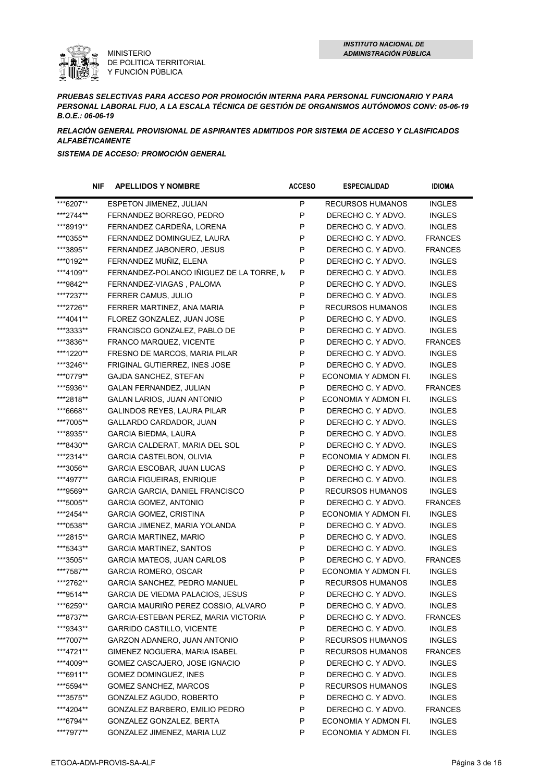

*PRUEBAS SELECTIVAS PARA ACCESO POR PROMOCIÓN INTERNA PARA PERSONAL FUNCIONARIO Y PARA PERSONAL LABORAL FIJO, A LA ESCALA TÉCNICA DE GESTIÓN DE ORGANISMOS AUTÓNOMOS CONV: 05-06-19 B.O.E.: 06-06-19*

*RELACIÓN GENERAL PROVISIONAL DE ASPIRANTES ADMITIDOS POR SISTEMA DE ACCESO Y CLASIFICADOS ALFABÉTICAMENTE*

| <b>NIF</b>             | <b>APELLIDOS Y NOMBRE</b>                                  | <b>ACCESO</b> | <b>ESPECIALIDAD</b>                           | <b>IDIOMA</b>                   |
|------------------------|------------------------------------------------------------|---------------|-----------------------------------------------|---------------------------------|
| ***6207**              | ESPETON JIMENEZ, JULIAN                                    | P             | <b>RECURSOS HUMANOS</b>                       | <b>INGLES</b>                   |
| ***2744**              | FERNANDEZ BORREGO, PEDRO                                   | P             | DERECHO C. Y ADVO.                            | <b>INGLES</b>                   |
| ***8919**              | FERNANDEZ CARDEÑA, LORENA                                  | $\mathsf{P}$  | DERECHO C. Y ADVO.                            | <b>INGLES</b>                   |
| ***0355**              | FERNANDEZ DOMINGUEZ, LAURA                                 | $\mathsf{P}$  | DERECHO C. Y ADVO.                            | <b>FRANCES</b>                  |
| ***3895**              | FERNANDEZ JABONERO, JESUS                                  | P             | DERECHO C. Y ADVO.                            | <b>FRANCES</b>                  |
| ***0192**              | FERNANDEZ MUÑIZ, ELENA                                     | $\mathsf{P}$  | DERECHO C. Y ADVO.                            | <b>INGLES</b>                   |
| ***4109**              | FERNANDEZ-POLANCO IÑIGUEZ DE LA TORRE, M                   | $\mathsf{P}$  | DERECHO C. Y ADVO.                            | <b>INGLES</b>                   |
| ***9842**              | FERNANDEZ-VIAGAS, PALOMA                                   | P             | DERECHO C. Y ADVO.                            | <b>INGLES</b>                   |
| ***7237**              | FERRER CAMUS, JULIO                                        | P             | DERECHO C. Y ADVO.                            | <b>INGLES</b>                   |
| ***2726**              | FERRER MARTINEZ, ANA MARIA                                 | P             | <b>RECURSOS HUMANOS</b>                       | <b>INGLES</b>                   |
| ***4041**              | FLOREZ GONZALEZ, JUAN JOSE                                 | P             | DERECHO C. Y ADVO.                            | <b>INGLES</b>                   |
| ***3333**              | FRANCISCO GONZALEZ, PABLO DE                               | P             | DERECHO C. Y ADVO.                            | <b>INGLES</b>                   |
| ***3836**              | FRANCO MARQUEZ, VICENTE                                    | P             | DERECHO C. Y ADVO.                            | <b>FRANCES</b>                  |
| ***1220**              | FRESNO DE MARCOS, MARIA PILAR                              | P             | DERECHO C. Y ADVO.                            | <b>INGLES</b>                   |
| ***3246**              | FRIGINAL GUTIERREZ, INES JOSE                              | P             | DERECHO C. Y ADVO.                            | <b>INGLES</b>                   |
| ***0779**              | GAJDA SANCHEZ, STEFAN                                      | P             | ECONOMIA Y ADMON FI.                          | <b>INGLES</b>                   |
| ***5936**              | GALAN FERNANDEZ, JULIAN                                    | P             | DERECHO C. Y ADVO.                            | <b>FRANCES</b>                  |
| ***2818**              | <b>GALAN LARIOS, JUAN ANTONIO</b>                          | P             | ECONOMIA Y ADMON FI.                          | <b>INGLES</b>                   |
| ***6668**              | GALINDOS REYES, LAURA PILAR                                | P             | DERECHO C. Y ADVO.                            | <b>INGLES</b>                   |
| ***7005**              | GALLARDO CARDADOR, JUAN                                    | P             | DERECHO C. Y ADVO.                            | <b>INGLES</b>                   |
| ***8935**              | <b>GARCIA BIEDMA, LAURA</b>                                | P             | DERECHO C. Y ADVO.                            | <b>INGLES</b>                   |
| ***8430**              | GARCIA CALDERAT, MARIA DEL SOL                             | P             | DERECHO C. Y ADVO.                            | <b>INGLES</b>                   |
| ***2314**              | GARCIA CASTELBON, OLIVIA                                   | P             | ECONOMIA Y ADMON FI.                          | <b>INGLES</b>                   |
| ***3056**              | GARCIA ESCOBAR, JUAN LUCAS                                 | P             | DERECHO C. Y ADVO.                            | <b>INGLES</b>                   |
| ***4977**              | <b>GARCIA FIGUEIRAS, ENRIQUE</b>                           | P             | DERECHO C. Y ADVO.                            | <b>INGLES</b>                   |
| ***9569**              | GARCIA GARCIA, DANIEL FRANCISCO                            | P             | <b>RECURSOS HUMANOS</b>                       | <b>INGLES</b>                   |
| ***5005**              | <b>GARCIA GOMEZ, ANTONIO</b>                               | P             | DERECHO C. Y ADVO.                            | <b>FRANCES</b>                  |
| ***2454**              | <b>GARCIA GOMEZ, CRISTINA</b>                              | P             | ECONOMIA Y ADMON FI.                          | <b>INGLES</b>                   |
| ***0538**              | GARCIA JIMENEZ, MARIA YOLANDA                              | P             | DERECHO C. Y ADVO.                            | <b>INGLES</b>                   |
| ***2815**              | <b>GARCIA MARTINEZ, MARIO</b>                              | $\sf P$       | DERECHO C. Y ADVO.                            | <b>INGLES</b>                   |
| ***5343**              | <b>GARCIA MARTINEZ, SANTOS</b>                             | $\sf P$       | DERECHO C. Y ADVO.                            | <b>INGLES</b>                   |
| ***3505**              | <b>GARCIA MATEOS, JUAN CARLOS</b>                          | $\sf P$       | DERECHO C. Y ADVO.                            | <b>FRANCES</b>                  |
| ***7587**              | <b>GARCIA ROMERO, OSCAR</b>                                | P             | ECONOMIA Y ADMON FI.                          | <b>INGLES</b>                   |
| ***2762**              | GARCIA SANCHEZ, PEDRO MANUEL                               | P             | <b>RECURSOS HUMANOS</b>                       | <b>INGLES</b>                   |
| ***9514**              | GARCIA DE VIEDMA PALACIOS, JESUS                           | P             | DERECHO C. Y ADVO.                            | <b>INGLES</b>                   |
| ***6259**              | GARCIA MAURIÑO PEREZ COSSIO, ALVARO                        | P             | DERECHO C. Y ADVO.                            | <b>INGLES</b>                   |
| ***8737**              | GARCIA-ESTEBAN PEREZ, MARIA VICTORIA                       | P             | DERECHO C. Y ADVO.                            | <b>FRANCES</b>                  |
| ***9343**              | <b>GARRIDO CASTILLO, VICENTE</b>                           | P             | DERECHO C. Y ADVO.                            | <b>INGLES</b>                   |
| ***7007**              | GARZON ADANERO, JUAN ANTONIO                               | P             | <b>RECURSOS HUMANOS</b>                       | <b>INGLES</b>                   |
| ***4721**              | GIMENEZ NOGUERA, MARIA ISABEL                              | P             | <b>RECURSOS HUMANOS</b>                       | <b>FRANCES</b>                  |
| ***4009**              | GOMEZ CASCAJERO, JOSE IGNACIO                              | $\mathsf{P}$  | DERECHO C. Y ADVO.                            | <b>INGLES</b>                   |
| ***6911**              |                                                            | P             | DERECHO C. Y ADVO.                            | <b>INGLES</b>                   |
|                        | GOMEZ DOMINGUEZ, INES                                      |               |                                               |                                 |
| ***5594**<br>***3575** | GOMEZ SANCHEZ, MARCOS<br>GONZALEZ AGUDO, ROBERTO           | P<br>P        | <b>RECURSOS HUMANOS</b><br>DERECHO C. Y ADVO. | <b>INGLES</b>                   |
| ***4204**              |                                                            | P             | DERECHO C. Y ADVO.                            | <b>INGLES</b><br><b>FRANCES</b> |
| ***6794**              | GONZALEZ BARBERO, EMILIO PEDRO<br>GONZALEZ GONZALEZ, BERTA | P             | ECONOMIA Y ADMON FI.                          |                                 |
| ***7977**              |                                                            | P             |                                               | <b>INGLES</b>                   |
|                        | GONZALEZ JIMENEZ, MARIA LUZ                                |               | ECONOMIA Y ADMON FI.                          | <b>INGLES</b>                   |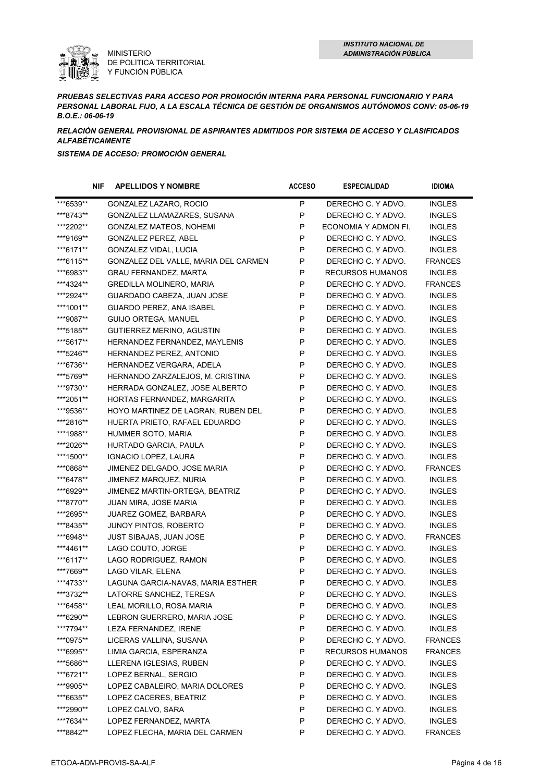

*PRUEBAS SELECTIVAS PARA ACCESO POR PROMOCIÓN INTERNA PARA PERSONAL FUNCIONARIO Y PARA PERSONAL LABORAL FIJO, A LA ESCALA TÉCNICA DE GESTIÓN DE ORGANISMOS AUTÓNOMOS CONV: 05-06-19 B.O.E.: 06-06-19*

*RELACIÓN GENERAL PROVISIONAL DE ASPIRANTES ADMITIDOS POR SISTEMA DE ACCESO Y CLASIFICADOS ALFABÉTICAMENTE*

| <b>NIF</b> | <b>APELLIDOS Y NOMBRE</b>            | <b>ACCESO</b> | <b>ESPECIALIDAD</b>     | <b>IDIOMA</b>  |
|------------|--------------------------------------|---------------|-------------------------|----------------|
| ***6539**  | GONZALEZ LAZARO, ROCIO               | P             | DERECHO C. Y ADVO.      | <b>INGLES</b>  |
| ***8743**  | GONZALEZ LLAMAZARES, SUSANA          | P             | DERECHO C. Y ADVO.      | <b>INGLES</b>  |
| ***2202**  | GONZALEZ MATEOS, NOHEMI              | P             | ECONOMIA Y ADMON FI.    | <b>INGLES</b>  |
| ***9169**  | <b>GONZALEZ PEREZ, ABEL</b>          | $\mathsf{P}$  | DERECHO C. Y ADVO.      | <b>INGLES</b>  |
| ***6171**  | GONZALEZ VIDAL, LUCIA                | $\mathsf{P}$  | DERECHO C. Y ADVO.      | <b>INGLES</b>  |
| ***6115**  | GONZALEZ DEL VALLE, MARIA DEL CARMEN | P             | DERECHO C. Y ADVO.      | <b>FRANCES</b> |
| ***6983**  | GRAU FERNANDEZ, MARTA                | P             | <b>RECURSOS HUMANOS</b> | <b>INGLES</b>  |
| ***4324**  | GREDILLA MOLINERO, MARIA             | P             | DERECHO C. Y ADVO.      | <b>FRANCES</b> |
| ***2924**  | GUARDADO CABEZA, JUAN JOSE           | P             | DERECHO C. Y ADVO.      | <b>INGLES</b>  |
| ***1001**  | GUARDO PEREZ, ANA ISABEL             | P             | DERECHO C. Y ADVO.      | <b>INGLES</b>  |
| ***9087**  | <b>GUIJO ORTEGA, MANUEL</b>          | P             | DERECHO C. Y ADVO.      | <b>INGLES</b>  |
| ***5185**  | GUTIERREZ MERINO, AGUSTIN            | P             | DERECHO C. Y ADVO.      | <b>INGLES</b>  |
| ***5617**  | HERNANDEZ FERNANDEZ, MAYLENIS        | P             | DERECHO C. Y ADVO.      | <b>INGLES</b>  |
| ***5246**  | HERNANDEZ PEREZ, ANTONIO             | P             | DERECHO C. Y ADVO.      | <b>INGLES</b>  |
| ***6736**  | HERNANDEZ VERGARA, ADELA             | P             | DERECHO C. Y ADVO.      | <b>INGLES</b>  |
| ***5769**  | HERNANDO ZARZALEJOS, M. CRISTINA     | P             | DERECHO C. Y ADVO.      | <b>INGLES</b>  |
| ***9730**  | HERRADA GONZALEZ, JOSE ALBERTO       | P             | DERECHO C. Y ADVO.      | <b>INGLES</b>  |
| ***2051**  | HORTAS FERNANDEZ, MARGARITA          | P             | DERECHO C. Y ADVO.      | <b>INGLES</b>  |
| ***9536**  | HOYO MARTINEZ DE LAGRAN, RUBEN DEL   | P             | DERECHO C. Y ADVO.      | <b>INGLES</b>  |
| ***2816**  | HUERTA PRIETO, RAFAEL EDUARDO        | P             | DERECHO C. Y ADVO.      | <b>INGLES</b>  |
| ***1988**  | HUMMER SOTO, MARIA                   | P             | DERECHO C. Y ADVO.      | <b>INGLES</b>  |
| ***2026**  | HURTADO GARCIA, PAULA                | P             | DERECHO C. Y ADVO.      | <b>INGLES</b>  |
| ***1500**  | IGNACIO LOPEZ, LAURA                 | P             | DERECHO C. Y ADVO.      | <b>INGLES</b>  |
| ***0868**  | JIMENEZ DELGADO, JOSE MARIA          | P             | DERECHO C. Y ADVO.      | <b>FRANCES</b> |
| ***6478**  | JIMENEZ MARQUEZ, NURIA               | P             | DERECHO C. Y ADVO.      | <b>INGLES</b>  |
| ***6929**  | JIMENEZ MARTIN-ORTEGA, BEATRIZ       | P             | DERECHO C. Y ADVO.      | <b>INGLES</b>  |
| ***8770**  | JUAN MIRA, JOSE MARIA                | $\mathsf{P}$  | DERECHO C. Y ADVO.      | <b>INGLES</b>  |
| ***2695**  | JUAREZ GOMEZ, BARBARA                | $\sf P$       | DERECHO C. Y ADVO.      | <b>INGLES</b>  |
| ***8435**  | JUNOY PINTOS, ROBERTO                | $\sf P$       | DERECHO C. Y ADVO.      | <b>INGLES</b>  |
| ***6948**  | JUST SIBAJAS, JUAN JOSE              | $\sf P$       | DERECHO C. Y ADVO.      | <b>FRANCES</b> |
| ***4461**  | LAGO COUTO, JORGE                    | $\sf P$       | DERECHO C. Y ADVO.      | <b>INGLES</b>  |
| ***6117**  | LAGO RODRIGUEZ, RAMON                | $\sf P$       | DERECHO C. Y ADVO.      | <b>INGLES</b>  |
| ***7669**  | LAGO VILAR, ELENA                    | $\sf P$       | DERECHO C. Y ADVO.      | <b>INGLES</b>  |
| ***4733**  | LAGUNA GARCIA-NAVAS, MARIA ESTHER    | P             | DERECHO C. Y ADVO.      | <b>INGLES</b>  |
| ***3732**  | LATORRE SANCHEZ, TERESA              | P             | DERECHO C. Y ADVO.      | <b>INGLES</b>  |
| ***6458**  | LEAL MORILLO, ROSA MARIA             | P             | DERECHO C. Y ADVO.      | <b>INGLES</b>  |
| ***6290**  | LEBRON GUERRERO, MARIA JOSE          | P             | DERECHO C. Y ADVO.      | <b>INGLES</b>  |
| ***7794**  | LEZA FERNANDEZ, IRENE                | P             | DERECHO C. Y ADVO.      | <b>INGLES</b>  |
| ***0975**  | LICERAS VALLINA, SUSANA              | P             | DERECHO C. Y ADVO.      | <b>FRANCES</b> |
| ***6995**  | LIMIA GARCIA, ESPERANZA              | P             | <b>RECURSOS HUMANOS</b> | <b>FRANCES</b> |
| ***5686**  | LLERENA IGLESIAS, RUBEN              | P             | DERECHO C. Y ADVO.      | <b>INGLES</b>  |
| ***6721**  | LOPEZ BERNAL, SERGIO                 | P             | DERECHO C. Y ADVO.      | <b>INGLES</b>  |
| ***9905**  | LOPEZ CABALEIRO, MARIA DOLORES       | P             | DERECHO C. Y ADVO.      | <b>INGLES</b>  |
| ***6635**  | LOPEZ CACERES, BEATRIZ               | P             | DERECHO C. Y ADVO.      | <b>INGLES</b>  |
| ***2990**  | LOPEZ CALVO, SARA                    | P             | DERECHO C. Y ADVO.      | <b>INGLES</b>  |
| ***7634**  | LOPEZ FERNANDEZ, MARTA               | P             | DERECHO C. Y ADVO.      | <b>INGLES</b>  |
| ***8842**  | LOPEZ FLECHA, MARIA DEL CARMEN       | P             | DERECHO C. Y ADVO.      | <b>FRANCES</b> |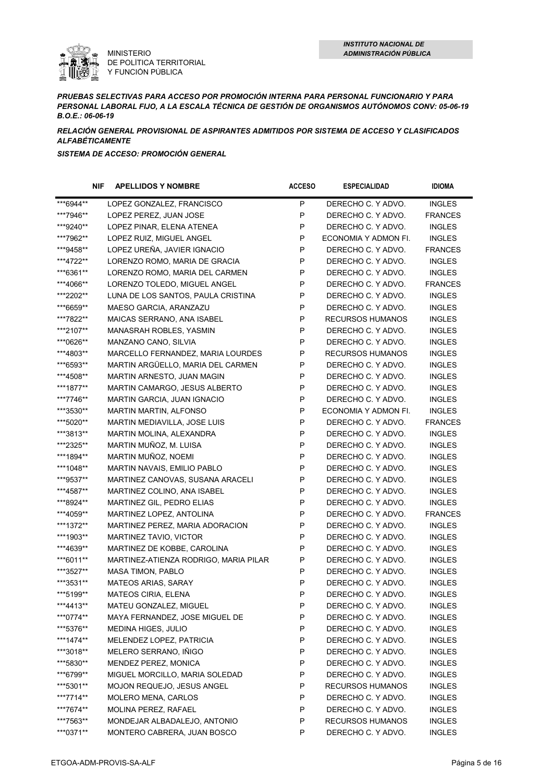

*PRUEBAS SELECTIVAS PARA ACCESO POR PROMOCIÓN INTERNA PARA PERSONAL FUNCIONARIO Y PARA PERSONAL LABORAL FIJO, A LA ESCALA TÉCNICA DE GESTIÓN DE ORGANISMOS AUTÓNOMOS CONV: 05-06-19 B.O.E.: 06-06-19*

*RELACIÓN GENERAL PROVISIONAL DE ASPIRANTES ADMITIDOS POR SISTEMA DE ACCESO Y CLASIFICADOS ALFABÉTICAMENTE*

| <b>NIF</b> | <b>APELLIDOS Y NOMBRE</b>             | <b>ACCESO</b> | <b>ESPECIALIDAD</b>     | <b>IDIOMA</b>  |
|------------|---------------------------------------|---------------|-------------------------|----------------|
| ***6944**  | LOPEZ GONZALEZ, FRANCISCO             | P             | DERECHO C. Y ADVO.      | <b>INGLES</b>  |
| ***7946**  | LOPEZ PEREZ, JUAN JOSE                | $\sf P$       | DERECHO C. Y ADVO.      | <b>FRANCES</b> |
| ***9240**  | LOPEZ PINAR, ELENA ATENEA             | P             | DERECHO C. Y ADVO.      | <b>INGLES</b>  |
| ***7962**  | LOPEZ RUIZ, MIGUEL ANGEL              | P             | ECONOMIA Y ADMON FI.    | <b>INGLES</b>  |
| ***9458**  | LOPEZ UREÑA, JAVIER IGNACIO           | P             | DERECHO C. Y ADVO.      | <b>FRANCES</b> |
| ***4722**  | LORENZO ROMO, MARIA DE GRACIA         | P             | DERECHO C. Y ADVO.      | <b>INGLES</b>  |
| ***6361**  | LORENZO ROMO, MARIA DEL CARMEN        | P             | DERECHO C. Y ADVO.      | <b>INGLES</b>  |
| ***4066**  | LORENZO TOLEDO, MIGUEL ANGEL          | P             | DERECHO C. Y ADVO.      | <b>FRANCES</b> |
| ***2202**  | LUNA DE LOS SANTOS, PAULA CRISTINA    | P             | DERECHO C. Y ADVO.      | <b>INGLES</b>  |
| ***6659**  | MAESO GARCIA, ARANZAZU                | P             | DERECHO C. Y ADVO.      | <b>INGLES</b>  |
| ***7822**  | MAICAS SERRANO, ANA ISABEL            | P             | <b>RECURSOS HUMANOS</b> | <b>INGLES</b>  |
| ***2107**  | MANASRAH ROBLES, YASMIN               | P             | DERECHO C. Y ADVO.      | <b>INGLES</b>  |
| ***0626**  | MANZANO CANO, SILVIA                  | P             | DERECHO C. Y ADVO.      | <b>INGLES</b>  |
| ***4803**  | MARCELLO FERNANDEZ, MARIA LOURDES     | P             | <b>RECURSOS HUMANOS</b> | <b>INGLES</b>  |
| ***6593**  | MARTIN ARGÜELLO, MARIA DEL CARMEN     | P             | DERECHO C. Y ADVO.      | <b>INGLES</b>  |
| ***4508**  | MARTIN ARNESTO, JUAN MAGIN            | P             | DERECHO C. Y ADVO.      | <b>INGLES</b>  |
| ***1877**  | MARTIN CAMARGO, JESUS ALBERTO         | P             | DERECHO C. Y ADVO.      | <b>INGLES</b>  |
| ***7746**  | MARTIN GARCIA, JUAN IGNACIO           | P             | DERECHO C. Y ADVO.      | <b>INGLES</b>  |
| ***3530**  | MARTIN MARTIN, ALFONSO                | P             | ECONOMIA Y ADMON FI.    | <b>INGLES</b>  |
| ***5020**  | MARTIN MEDIAVILLA, JOSE LUIS          | P             | DERECHO C. Y ADVO.      | <b>FRANCES</b> |
| ***3813**  | MARTIN MOLINA, ALEXANDRA              | P             | DERECHO C. Y ADVO.      | <b>INGLES</b>  |
| ***2325**  | MARTIN MUÑOZ, M. LUISA                | P             | DERECHO C. Y ADVO.      | <b>INGLES</b>  |
| ***1894**  | MARTIN MUÑOZ, NOEMI                   | P             | DERECHO C. Y ADVO.      | <b>INGLES</b>  |
| ***1048**  | MARTIN NAVAIS, EMILIO PABLO           | P             | DERECHO C. Y ADVO.      | <b>INGLES</b>  |
| ***9537**  | MARTINEZ CANOVAS, SUSANA ARACELI      | P             | DERECHO C. Y ADVO.      | <b>INGLES</b>  |
| ***4587**  | MARTINEZ COLINO, ANA ISABEL           | P             | DERECHO C. Y ADVO.      | <b>INGLES</b>  |
| ***8924**  | MARTINEZ GIL, PEDRO ELIAS             | P             | DERECHO C. Y ADVO.      | <b>INGLES</b>  |
| ***4059**  | MARTINEZ LOPEZ, ANTOLINA              | P             | DERECHO C. Y ADVO.      | <b>FRANCES</b> |
| ***1372**  | MARTINEZ PEREZ, MARIA ADORACION       | P             | DERECHO C. Y ADVO.      | <b>INGLES</b>  |
| ***1903**  | MARTINEZ TAVIO, VICTOR                | P             | DERECHO C. Y ADVO.      | <b>INGLES</b>  |
| ***4639**  | MARTINEZ DE KOBBE, CAROLINA           | P             | DERECHO C. Y ADVO.      | <b>INGLES</b>  |
| ***6011**  | MARTINEZ-ATIENZA RODRIGO, MARIA PILAR | P             | DERECHO C. Y ADVO.      | <b>INGLES</b>  |
| ***3527**  | MASA TIMON, PABLO                     | P             | DERECHO C. Y ADVO.      | <b>INGLES</b>  |
| ***3531**  | MATEOS ARIAS, SARAY                   | P             | DERECHO C. Y ADVO.      | <b>INGLES</b>  |
| ***5199**  | MATEOS CIRIA, ELENA                   | P             | DERECHO C. Y ADVO.      | <b>INGLES</b>  |
| ***4413**  | MATEU GONZALEZ, MIGUEL                | P             | DERECHO C. Y ADVO.      | <b>INGLES</b>  |
| ***0774**  | MAYA FERNANDEZ, JOSE MIGUEL DE        | P             | DERECHO C. Y ADVO.      | <b>INGLES</b>  |
| ***5376**  | MEDINA HIGES, JULIO                   | P             | DERECHO C. Y ADVO.      | <b>INGLES</b>  |
| ***1474**  | MELENDEZ LOPEZ, PATRICIA              | P             | DERECHO C. Y ADVO.      | <b>INGLES</b>  |
| ***3018**  | MELERO SERRANO, IÑIGO                 | P             | DERECHO C. Y ADVO.      | <b>INGLES</b>  |
| ***5830**  | MENDEZ PEREZ, MONICA                  | P             | DERECHO C. Y ADVO.      | <b>INGLES</b>  |
| ***6799**  | MIGUEL MORCILLO, MARIA SOLEDAD        | P             | DERECHO C. Y ADVO.      | <b>INGLES</b>  |
| ***5301**  | MOJON REQUEJO, JESUS ANGEL            | P             | RECURSOS HUMANOS        | <b>INGLES</b>  |
| ***7714**  | <b>MOLERO MENA, CARLOS</b>            | P             | DERECHO C. Y ADVO.      | <b>INGLES</b>  |
| ***7674**  | MOLINA PEREZ, RAFAEL                  | P             | DERECHO C. Y ADVO.      | <b>INGLES</b>  |
| ***7563**  | MONDEJAR ALBADALEJO, ANTONIO          | P             | <b>RECURSOS HUMANOS</b> | <b>INGLES</b>  |
| ***0371**  | MONTERO CABRERA, JUAN BOSCO           | P             | DERECHO C. Y ADVO.      | <b>INGLES</b>  |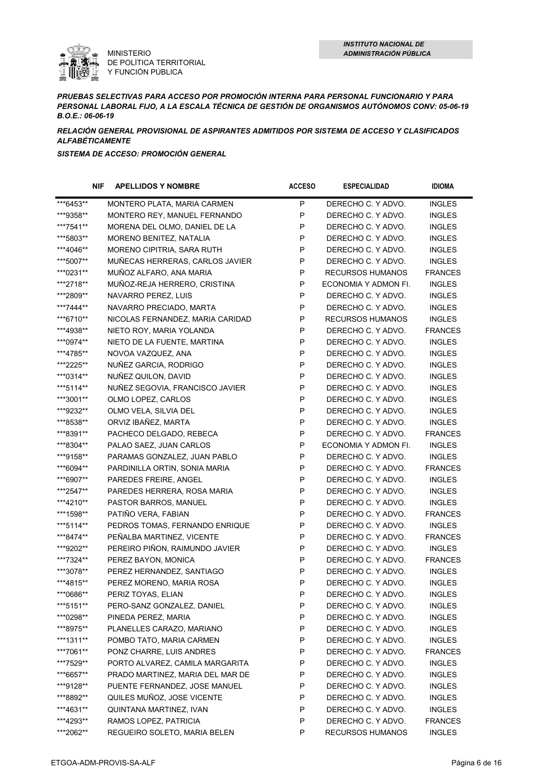

*PRUEBAS SELECTIVAS PARA ACCESO POR PROMOCIÓN INTERNA PARA PERSONAL FUNCIONARIO Y PARA PERSONAL LABORAL FIJO, A LA ESCALA TÉCNICA DE GESTIÓN DE ORGANISMOS AUTÓNOMOS CONV: 05-06-19 B.O.E.: 06-06-19*

*RELACIÓN GENERAL PROVISIONAL DE ASPIRANTES ADMITIDOS POR SISTEMA DE ACCESO Y CLASIFICADOS ALFABÉTICAMENTE*

| <b>NIF</b> | <b>APELLIDOS Y NOMBRE</b>        | <b>ACCESO</b> | <b>ESPECIALIDAD</b>     | <b>IDIOMA</b>  |
|------------|----------------------------------|---------------|-------------------------|----------------|
| ***6453**  | MONTERO PLATA, MARIA CARMEN      | P             | DERECHO C. Y ADVO.      | <b>INGLES</b>  |
| ***9358**  | MONTERO REY, MANUEL FERNANDO     | P             | DERECHO C. Y ADVO.      | <b>INGLES</b>  |
| ***7541**  | MORENA DEL OLMO, DANIEL DE LA    | $\mathsf{P}$  | DERECHO C. Y ADVO.      | <b>INGLES</b>  |
| ***5803**  | MORENO BENITEZ, NATALIA          | $\mathsf{P}$  | DERECHO C. Y ADVO.      | <b>INGLES</b>  |
| ***4046**  | MORENO CIPITRIA, SARA RUTH       | P             | DERECHO C. Y ADVO.      | <b>INGLES</b>  |
| ***5007**  | MUÑECAS HERRERAS, CARLOS JAVIER  | P             | DERECHO C. Y ADVO.      | <b>INGLES</b>  |
| ***0231**  | MUÑOZ ALFARO, ANA MARIA          | P             | <b>RECURSOS HUMANOS</b> | <b>FRANCES</b> |
| ***2718**  | MUÑOZ-REJA HERRERO, CRISTINA     | P             | ECONOMIA Y ADMON FI.    | <b>INGLES</b>  |
| ***2809**  | NAVARRO PEREZ, LUIS              | P             | DERECHO C. Y ADVO.      | <b>INGLES</b>  |
| ***7444**  | NAVARRO PRECIADO, MARTA          | P             | DERECHO C. Y ADVO.      | <b>INGLES</b>  |
| ***6710**  | NICOLAS FERNANDEZ, MARIA CARIDAD | P             | <b>RECURSOS HUMANOS</b> | <b>INGLES</b>  |
| ***4938**  | NIETO ROY, MARIA YOLANDA         | P             | DERECHO C. Y ADVO.      | <b>FRANCES</b> |
| ***0974**  | NIETO DE LA FUENTE, MARTINA      | P             | DERECHO C. Y ADVO.      | <b>INGLES</b>  |
| ***4785**  | NOVOA VAZQUEZ, ANA               | P             | DERECHO C. Y ADVO.      | <b>INGLES</b>  |
| ***2225**  | NUÑEZ GARCIA, RODRIGO            | P             | DERECHO C. Y ADVO.      | <b>INGLES</b>  |
| ***0314**  | NUÑEZ QUILON, DAVID              | P             | DERECHO C. Y ADVO.      | <b>INGLES</b>  |
| ***5114**  | NUÑEZ SEGOVIA, FRANCISCO JAVIER  | P             | DERECHO C. Y ADVO.      | <b>INGLES</b>  |
| ***3001**  | OLMO LOPEZ, CARLOS               | P             | DERECHO C. Y ADVO.      | <b>INGLES</b>  |
| ***9232**  | OLMO VELA, SILVIA DEL            | P             | DERECHO C. Y ADVO.      | <b>INGLES</b>  |
| ***8538**  | ORVIZ IBAÑEZ, MARTA              | P             | DERECHO C. Y ADVO.      | <b>INGLES</b>  |
| ***8391**  | PACHECO DELGADO, REBECA          | P             | DERECHO C. Y ADVO.      | <b>FRANCES</b> |
| ***8304**  | PALAO SAEZ, JUAN CARLOS          | P             | ECONOMIA Y ADMON FI.    | <b>INGLES</b>  |
| ***9158**  | PARAMAS GONZALEZ, JUAN PABLO     | P             | DERECHO C. Y ADVO.      | <b>INGLES</b>  |
| ***6094**  | PARDINILLA ORTIN, SONIA MARIA    | P             | DERECHO C. Y ADVO.      | <b>FRANCES</b> |
| ***6907**  | PAREDES FREIRE, ANGEL            | P             | DERECHO C. Y ADVO.      | <b>INGLES</b>  |
| ***2547**  | PAREDES HERRERA, ROSA MARIA      | P             | DERECHO C. Y ADVO.      | <b>INGLES</b>  |
| ***4210**  | PASTOR BARROS, MANUEL            | P             | DERECHO C. Y ADVO.      | <b>INGLES</b>  |
| ***1598**  | PATIÑO VERA, FABIAN              | P             | DERECHO C. Y ADVO.      | <b>FRANCES</b> |
| ***5114**  | PEDROS TOMAS, FERNANDO ENRIQUE   | P             | DERECHO C. Y ADVO.      | <b>INGLES</b>  |
| ***8474**  | PEÑALBA MARTINEZ, VICENTE        | P             | DERECHO C. Y ADVO.      | <b>FRANCES</b> |
| ***9202**  | PEREIRO PIÑON, RAIMUNDO JAVIER   | $\mathsf{P}$  | DERECHO C. Y ADVO.      | <b>INGLES</b>  |
| ***7324**  | PEREZ BAYON, MONICA              | $\sf P$       | DERECHO C. Y ADVO.      | <b>FRANCES</b> |
| ***3078**  | PEREZ HERNANDEZ, SANTIAGO        | $\sf P$       | DERECHO C. Y ADVO.      | <b>INGLES</b>  |
| ***4815**  | PEREZ MORENO, MARIA ROSA         | P             | DERECHO C. Y ADVO.      | <b>INGLES</b>  |
| ***0686**  | PERIZ TOYAS, ELIAN               | P             | DERECHO C. Y ADVO.      | <b>INGLES</b>  |
| ***5151**  | PERO-SANZ GONZALEZ, DANIEL       | P             | DERECHO C. Y ADVO.      | <b>INGLES</b>  |
| ***0298**  | PINEDA PEREZ, MARIA              | P             | DERECHO C. Y ADVO.      | <b>INGLES</b>  |
| ***8975**  | PLANELLES CARAZO, MARIANO        | P             | DERECHO C. Y ADVO.      | <b>INGLES</b>  |
| ***1311**  | POMBO TATO, MARIA CARMEN         | P             | DERECHO C. Y ADVO.      | <b>INGLES</b>  |
| ***7061**  | PONZ CHARRE, LUIS ANDRES         | P             | DERECHO C. Y ADVO.      | <b>FRANCES</b> |
| ***7529**  | PORTO ALVAREZ, CAMILA MARGARITA  | P             | DERECHO C. Y ADVO.      | <b>INGLES</b>  |
| ***6657**  | PRADO MARTINEZ, MARIA DEL MAR DE | P             | DERECHO C. Y ADVO.      | <b>INGLES</b>  |
| ***9128**  | PUENTE FERNANDEZ, JOSE MANUEL    | P             | DERECHO C. Y ADVO.      | <b>INGLES</b>  |
| ***8892**  | QUILES MUÑOZ, JOSE VICENTE       | P             | DERECHO C. Y ADVO.      | <b>INGLES</b>  |
| ***4631**  | QUINTANA MARTINEZ, IVAN          | P             | DERECHO C. Y ADVO.      | <b>INGLES</b>  |
| ***4293**  | RAMOS LOPEZ, PATRICIA            | P             | DERECHO C. Y ADVO.      | <b>FRANCES</b> |
| ***2062**  | REGUEIRO SOLETO, MARIA BELEN     | P             | <b>RECURSOS HUMANOS</b> | <b>INGLES</b>  |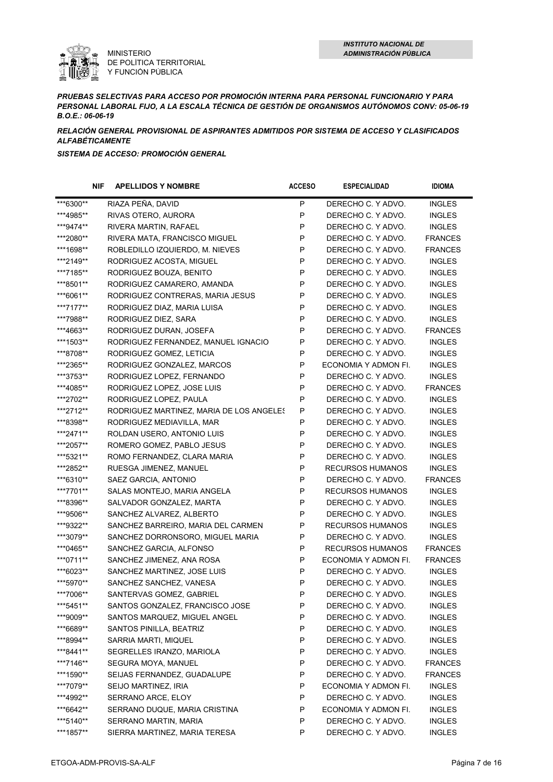

*PRUEBAS SELECTIVAS PARA ACCESO POR PROMOCIÓN INTERNA PARA PERSONAL FUNCIONARIO Y PARA PERSONAL LABORAL FIJO, A LA ESCALA TÉCNICA DE GESTIÓN DE ORGANISMOS AUTÓNOMOS CONV: 05-06-19 B.O.E.: 06-06-19*

*RELACIÓN GENERAL PROVISIONAL DE ASPIRANTES ADMITIDOS POR SISTEMA DE ACCESO Y CLASIFICADOS ALFABÉTICAMENTE*

| <b>NIF</b> | <b>APELLIDOS Y NOMBRE</b>                | <b>ACCESO</b> | <b>ESPECIALIDAD</b>     | <b>IDIOMA</b>  |
|------------|------------------------------------------|---------------|-------------------------|----------------|
| ***6300**  | RIAZA PEÑA, DAVID                        | P             | DERECHO C. Y ADVO.      | <b>INGLES</b>  |
| ***4985**  | RIVAS OTERO, AURORA                      | P             | DERECHO C. Y ADVO.      | <b>INGLES</b>  |
| ***9474**  | RIVERA MARTIN, RAFAEL                    | P             | DERECHO C. Y ADVO.      | <b>INGLES</b>  |
| ***2080**  | RIVERA MATA, FRANCISCO MIGUEL            | P             | DERECHO C. Y ADVO.      | <b>FRANCES</b> |
| ***1698**  | ROBLEDILLO IZQUIERDO, M. NIEVES          | P             | DERECHO C. Y ADVO.      | <b>FRANCES</b> |
| ***2149**  | RODRIGUEZ ACOSTA, MIGUEL                 | P             | DERECHO C. Y ADVO.      | <b>INGLES</b>  |
| ***7185**  | RODRIGUEZ BOUZA, BENITO                  | P             | DERECHO C. Y ADVO.      | <b>INGLES</b>  |
| ***8501**  | RODRIGUEZ CAMARERO, AMANDA               | P             | DERECHO C. Y ADVO.      | <b>INGLES</b>  |
| ***6061**  | RODRIGUEZ CONTRERAS, MARIA JESUS         | P             | DERECHO C. Y ADVO.      | <b>INGLES</b>  |
| ***7177**  | RODRIGUEZ DIAZ, MARIA LUISA              | P             | DERECHO C. Y ADVO.      | <b>INGLES</b>  |
| ***7988**  | RODRIGUEZ DIEZ, SARA                     | P             | DERECHO C. Y ADVO.      | <b>INGLES</b>  |
| ***4663**  | RODRIGUEZ DURAN, JOSEFA                  | P             | DERECHO C. Y ADVO.      | <b>FRANCES</b> |
| ***1503**  | RODRIGUEZ FERNANDEZ, MANUEL IGNACIO      | P             | DERECHO C. Y ADVO.      | <b>INGLES</b>  |
| ***8708**  | RODRIGUEZ GOMEZ, LETICIA                 | P             | DERECHO C. Y ADVO.      | <b>INGLES</b>  |
| ***2365**  | RODRIGUEZ GONZALEZ, MARCOS               | $\sf P$       | ECONOMIA Y ADMON FI.    | <b>INGLES</b>  |
| ***3753**  | RODRIGUEZ LOPEZ, FERNANDO                | P             | DERECHO C. Y ADVO.      | <b>INGLES</b>  |
| ***4085**  | RODRIGUEZ LOPEZ, JOSE LUIS               | $\sf P$       | DERECHO C. Y ADVO.      | <b>FRANCES</b> |
| ***2702**  | RODRIGUEZ LOPEZ, PAULA                   | P             | DERECHO C. Y ADVO.      | <b>INGLES</b>  |
| ***2712**  | RODRIGUEZ MARTINEZ, MARIA DE LOS ANGELES | P             | DERECHO C. Y ADVO.      | <b>INGLES</b>  |
| ***8398**  | RODRIGUEZ MEDIAVILLA, MAR                | P             | DERECHO C. Y ADVO.      | <b>INGLES</b>  |
| ***2471**  | ROLDAN USERO, ANTONIO LUIS               | P             | DERECHO C. Y ADVO.      | <b>INGLES</b>  |
| ***2057**  | ROMERO GOMEZ, PABLO JESUS                | P             | DERECHO C. Y ADVO.      | <b>INGLES</b>  |
| ***5321**  | ROMO FERNANDEZ, CLARA MARIA              | P             | DERECHO C. Y ADVO.      | <b>INGLES</b>  |
| ***2852**  | RUESGA JIMENEZ, MANUEL                   | P             | <b>RECURSOS HUMANOS</b> | <b>INGLES</b>  |
| ***6310**  | SAEZ GARCIA, ANTONIO                     | P             | DERECHO C. Y ADVO.      | <b>FRANCES</b> |
| ***7701**  | SALAS MONTEJO, MARIA ANGELA              | P             | <b>RECURSOS HUMANOS</b> | <b>INGLES</b>  |
| ***8396**  | SALVADOR GONZALEZ, MARTA                 | P             | DERECHO C. Y ADVO.      | <b>INGLES</b>  |
| ***9506**  | SANCHEZ ALVAREZ, ALBERTO                 | P             | DERECHO C. Y ADVO.      | <b>INGLES</b>  |
| ***9322**  | SANCHEZ BARREIRO, MARIA DEL CARMEN       | P             | RECURSOS HUMANOS        | <b>INGLES</b>  |
| ***3079**  | SANCHEZ DORRONSORO, MIGUEL MARIA         | P             | DERECHO C. Y ADVO.      | <b>INGLES</b>  |
| ***0465**  | SANCHEZ GARCIA, ALFONSO                  | $\sf P$       | <b>RECURSOS HUMANOS</b> | <b>FRANCES</b> |
| ***0711**  | SANCHEZ JIMENEZ, ANA ROSA                | P             | ECONOMIA Y ADMON FI.    | <b>FRANCES</b> |
| ***6023**  | SANCHEZ MARTINEZ, JOSE LUIS              | P             | DERECHO C. Y ADVO.      | <b>INGLES</b>  |
| ***5970**  | SANCHEZ SANCHEZ, VANESA                  | P             | DERECHO C. Y ADVO.      | <b>INGLES</b>  |
| ***7006**  | SANTERVAS GOMEZ, GABRIEL                 | P             | DERECHO C. Y ADVO.      | <b>INGLES</b>  |
| ***5451**  | SANTOS GONZALEZ, FRANCISCO JOSE          | P             | DERECHO C. Y ADVO.      | <b>INGLES</b>  |
| ***9009**  | SANTOS MARQUEZ, MIGUEL ANGEL             | P             | DERECHO C. Y ADVO.      | <b>INGLES</b>  |
| ***6689**  | SANTOS PINILLA, BEATRIZ                  | P             | DERECHO C. Y ADVO.      | <b>INGLES</b>  |
| ***8994**  | SARRIA MARTI, MIQUEL                     | P             | DERECHO C. Y ADVO.      | <b>INGLES</b>  |
| ***8441**  | SEGRELLES IRANZO, MARIOLA                | P             | DERECHO C. Y ADVO.      | <b>INGLES</b>  |
| ***7146**  | SEGURA MOYA, MANUEL                      | P             | DERECHO C. Y ADVO.      | <b>FRANCES</b> |
| ***1590**  | SEIJAS FERNANDEZ, GUADALUPE              | P             | DERECHO C. Y ADVO.      | <b>FRANCES</b> |
| ***7079**  | SEIJO MARTINEZ, IRIA                     | P             | ECONOMIA Y ADMON FI.    | <b>INGLES</b>  |
| ***4992**  | SERRANO ARCE, ELOY                       | P             | DERECHO C. Y ADVO.      | <b>INGLES</b>  |
| ***6642**  | SERRANO DUQUE, MARIA CRISTINA            | P             | ECONOMIA Y ADMON FI.    | <b>INGLES</b>  |
| ***5140**  | SERRANO MARTIN, MARIA                    | P             | DERECHO C. Y ADVO.      | <b>INGLES</b>  |
| ***1857**  | SIERRA MARTINEZ, MARIA TERESA            | P             | DERECHO C. Y ADVO.      | <b>INGLES</b>  |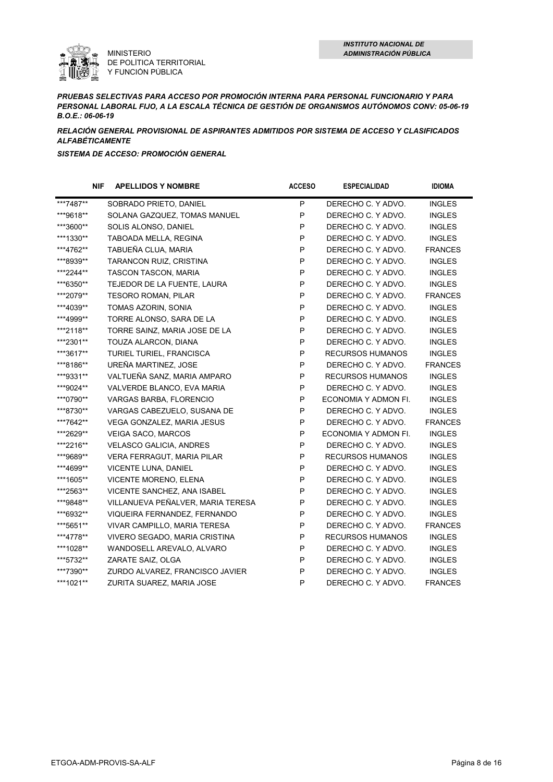

*PRUEBAS SELECTIVAS PARA ACCESO POR PROMOCIÓN INTERNA PARA PERSONAL FUNCIONARIO Y PARA PERSONAL LABORAL FIJO, A LA ESCALA TÉCNICA DE GESTIÓN DE ORGANISMOS AUTÓNOMOS CONV: 05-06-19 B.O.E.: 06-06-19*

*RELACIÓN GENERAL PROVISIONAL DE ASPIRANTES ADMITIDOS POR SISTEMA DE ACCESO Y CLASIFICADOS ALFABÉTICAMENTE*

| <b>NIF</b> | <b>APELLIDOS Y NOMBRE</b>         | <b>ACCESO</b> | <b>ESPECIALIDAD</b>     | <b>IDIOMA</b>  |
|------------|-----------------------------------|---------------|-------------------------|----------------|
| ***7487**  | SOBRADO PRIETO, DANIEL            | P             | DERECHO C. Y ADVO.      | <b>INGLES</b>  |
| ***9618**  | SOLANA GAZQUEZ, TOMAS MANUEL      | P             | DERECHO C. Y ADVO.      | <b>INGLES</b>  |
| ***3600**  | SOLIS ALONSO, DANIEL              | P             | DERECHO C. Y ADVO.      | <b>INGLES</b>  |
| ***1330**  | TABOADA MELLA, REGINA             | P             | DERECHO C. Y ADVO.      | <b>INGLES</b>  |
| ***4762**  | TABUEÑA CLUA, MARIA               | P             | DERECHO C. Y ADVO.      | <b>FRANCES</b> |
| ***8939**  | TARANCON RUIZ, CRISTINA           | P             | DERECHO C. Y ADVO.      | <b>INGLES</b>  |
| ***2244**  | TASCON TASCON, MARIA              | ${\sf P}$     | DERECHO C. Y ADVO.      | <b>INGLES</b>  |
| ***6350**  | TEJEDOR DE LA FUENTE, LAURA       | P             | DERECHO C. Y ADVO.      | <b>INGLES</b>  |
| ***2079**  | TESORO ROMAN, PILAR               | P             | DERECHO C. Y ADVO.      | <b>FRANCES</b> |
| ***4039**  | TOMAS AZORIN, SONIA               | P             | DERECHO C. Y ADVO.      | <b>INGLES</b>  |
| ***4999**  | TORRE ALONSO, SARA DE LA          | P             | DERECHO C. Y ADVO.      | <b>INGLES</b>  |
| ***2118**  | TORRE SAINZ, MARIA JOSE DE LA     | P             | DERECHO C. Y ADVO.      | <b>INGLES</b>  |
| ***2301**  | TOUZA ALARCON, DIANA              | P             | DERECHO C. Y ADVO.      | <b>INGLES</b>  |
| ***3617**  | TURIEL TURIEL, FRANCISCA          | P             | <b>RECURSOS HUMANOS</b> | <b>INGLES</b>  |
| ***8186**  | UREÑA MARTINEZ, JOSE              | P             | DERECHO C. Y ADVO.      | <b>FRANCES</b> |
| ***9331**  | VALTUEÑA SANZ, MARIA AMPARO       | P             | <b>RECURSOS HUMANOS</b> | <b>INGLES</b>  |
| ***9024**  | VALVERDE BLANCO, EVA MARIA        | P             | DERECHO C. Y ADVO.      | <b>INGLES</b>  |
| ***0790**  | VARGAS BARBA, FLORENCIO           | P             | ECONOMIA Y ADMON FI.    | <b>INGLES</b>  |
| ***8730**  | VARGAS CABEZUELO, SUSANA DE       | ${\sf P}$     | DERECHO C. Y ADVO.      | <b>INGLES</b>  |
| ***7642**  | VEGA GONZALEZ, MARIA JESUS        | P             | DERECHO C. Y ADVO.      | <b>FRANCES</b> |
| ***2629**  | VEIGA SACO, MARCOS                | P             | ECONOMIA Y ADMON FI.    | <b>INGLES</b>  |
| ***2216**  | <b>VELASCO GALICIA, ANDRES</b>    | P             | DERECHO C. Y ADVO.      | <b>INGLES</b>  |
| ***9689**  | VERA FERRAGUT, MARIA PILAR        | P             | <b>RECURSOS HUMANOS</b> | <b>INGLES</b>  |
| ***4699**  | VICENTE LUNA, DANIEL              | P             | DERECHO C. Y ADVO.      | <b>INGLES</b>  |
| ***1605**  | VICENTE MORENO, ELENA             | P             | DERECHO C. Y ADVO.      | <b>INGLES</b>  |
| ***2563**  | VICENTE SANCHEZ, ANA ISABEL       | P             | DERECHO C. Y ADVO.      | <b>INGLES</b>  |
| ***9848**  | VILLANUEVA PEÑALVER, MARIA TERESA | P             | DERECHO C. Y ADVO.      | <b>INGLES</b>  |
| ***6932**  | VIQUEIRA FERNANDEZ, FERNANDO      | P             | DERECHO C. Y ADVO.      | <b>INGLES</b>  |
| ***5651**  | VIVAR CAMPILLO, MARIA TERESA      | P             | DERECHO C. Y ADVO.      | <b>FRANCES</b> |
| ***4778**  | VIVERO SEGADO, MARIA CRISTINA     | P             | <b>RECURSOS HUMANOS</b> | <b>INGLES</b>  |
| ***1028**  | WANDOSELL AREVALO, ALVARO         | P             | DERECHO C. Y ADVO.      | <b>INGLES</b>  |
| ***5732**  | ZARATE SAIZ, OLGA                 | P             | DERECHO C. Y ADVO.      | <b>INGLES</b>  |
| ***7390**  | ZURDO ALVAREZ, FRANCISCO JAVIER   | P             | DERECHO C. Y ADVO.      | <b>INGLES</b>  |
| ***1021**  | ZURITA SUAREZ, MARIA JOSE         | P             | DERECHO C. Y ADVO.      | <b>FRANCES</b> |